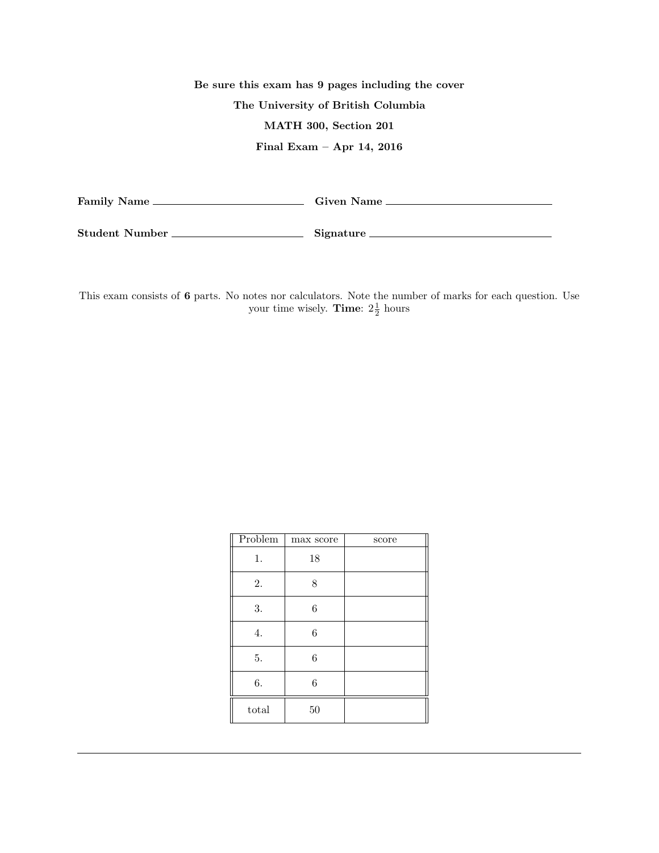## Be sure this exam has 9 pages including the cover The University of British Columbia MATH 300, Section 201 Final Exam – Apr 14, 2016 Family Name Given Name

Student Number Signature

This exam consists of 6 parts. No notes nor calculators. Note the number of marks for each question. Use your time wisely. **Time**:  $2\frac{1}{2}$  hours

| Problem | max score        | score |
|---------|------------------|-------|
| 1.      | 18               |       |
| 2.      | 8                |       |
| 3.      | $\boldsymbol{6}$ |       |
| 4.      | $\boldsymbol{6}$ |       |
| 5.      | $\boldsymbol{6}$ |       |
| 6.      | 6                |       |
| total   | 50               |       |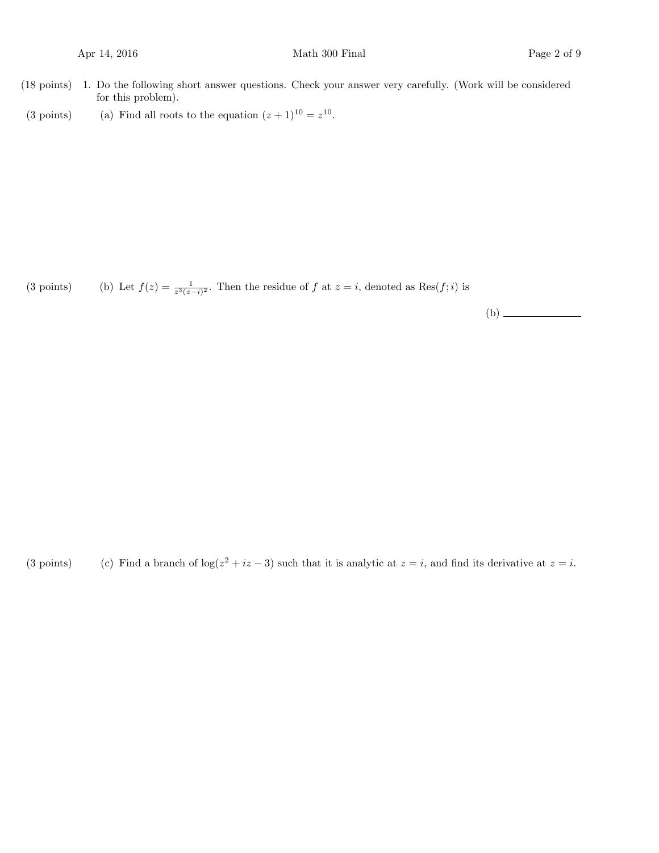- (18 points) 1. Do the following short answer questions. Check your answer very carefully. (Work will be considered for this problem).
- (3 points) (a) Find all roots to the equation  $(z+1)^{10} = z^{10}$ .

(3 points) (b) Let  $f(z) = \frac{1}{z^3(z-i)^2}$ . Then the residue of f at  $z = i$ , denoted as  $\text{Res}(f; i)$  is

(b)

(3 points) (c) Find a branch of  $\log(z^2 + iz - 3)$  such that it is analytic at  $z = i$ , and find its derivative at  $z = i$ .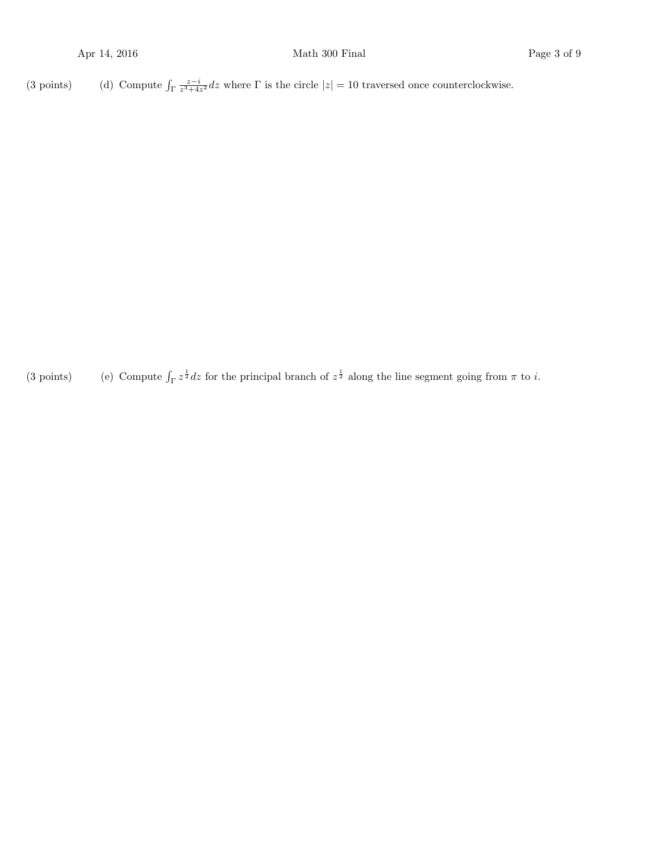(3 points) (d) Compute  $\int_{\Gamma} \frac{z-i}{z^3+4z^2} dz$  where  $\Gamma$  is the circle  $|z|=10$  traversed once counterclockwise.

(3 points) (e) Compute  $\int_{\Gamma} z^{\frac{1}{2}} dz$  for the principal branch of  $z^{\frac{1}{2}}$  along the line segment going from  $\pi$  to *i*.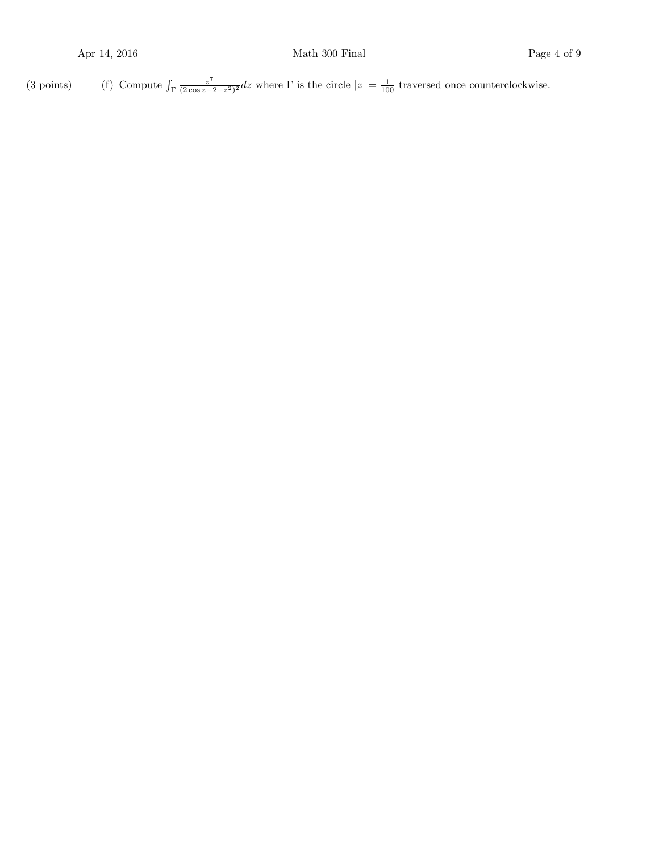(3 points) (f) Compute  $\int_{\Gamma} \frac{z^7}{(2 \cos z - 1)} dz$  $\frac{z^7}{(2\cos z - 2 + z^2)^2}$  dz where  $\Gamma$  is the circle  $|z| = \frac{1}{100}$  traversed once counterclockwise.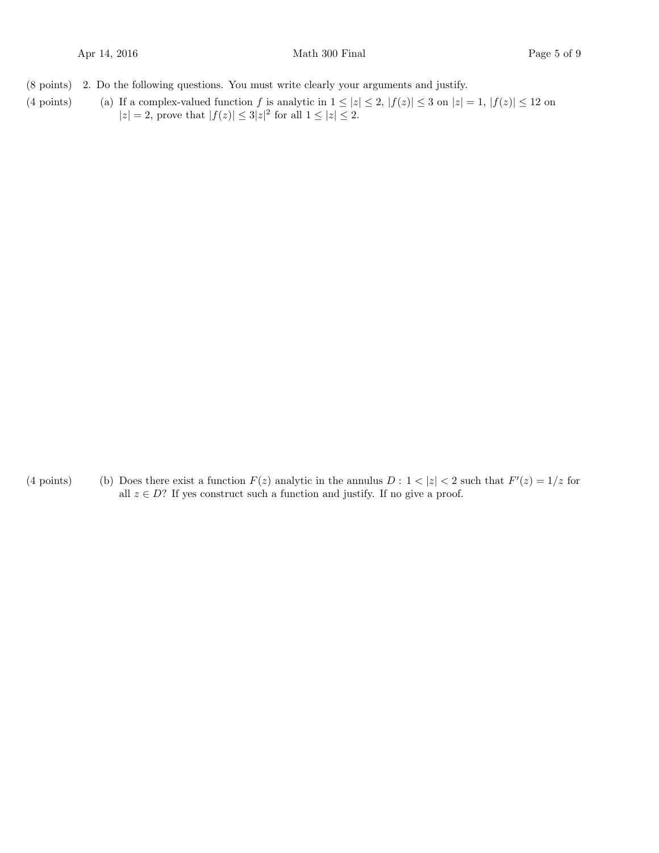- (8 points) 2. Do the following questions. You must write clearly your arguments and justify.
- (4 points) (a) If a complex-valued function f is analytic in  $1 \le |z| \le 2$ ,  $|f(z)| \le 3$  on  $|z| = 1$ ,  $|f(z)| \le 12$  on  $|z| = 2$ , prove that  $|f(z)| \leq 3|z|^2$  for all  $1 \leq |z| \leq 2$ .

(4 points) (b) Does there exist a function  $F(z)$  analytic in the annulus  $D: 1 < |z| < 2$  such that  $F'(z) = 1/z$  for all  $z \in D$ ? If yes construct such a function and justify. If no give a proof.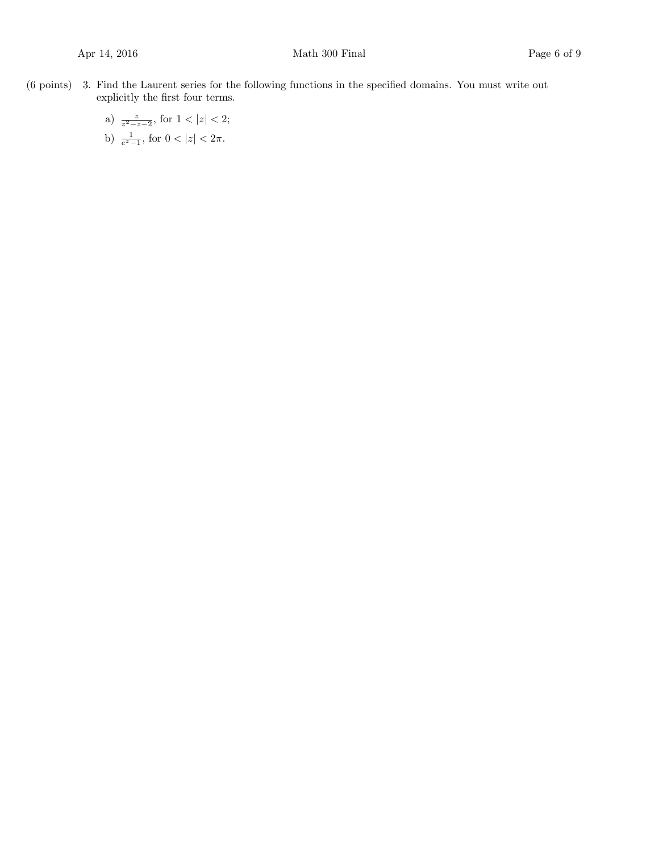- $(6 \text{ points})$  3. Find the Laurent series for the following functions in the specified domains. You must write out explicitly the first four terms.
	- a)  $\frac{z}{z^2-z-2}$ , for  $1 < |z| < 2$ ; b)  $\frac{1}{e^z-1}$ , for  $0 < |z| < 2\pi$ .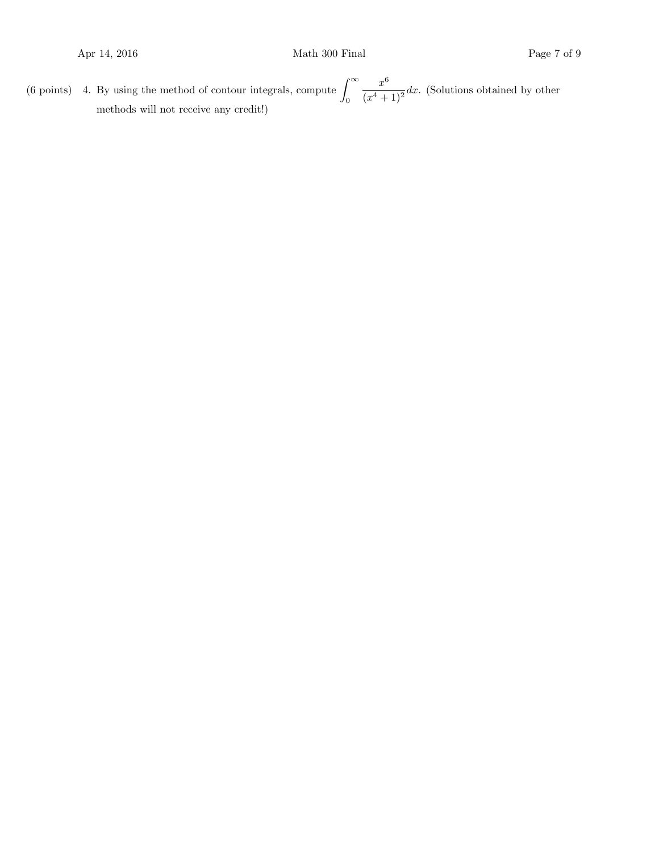(6 points) 4. By using the method of contour integrals, compute  $\int_{-\infty}^{\infty}$ 0  $x^6$  $\frac{x}{(x^4+1)^2}$  dx. (Solutions obtained by other methods will not receive any credit!)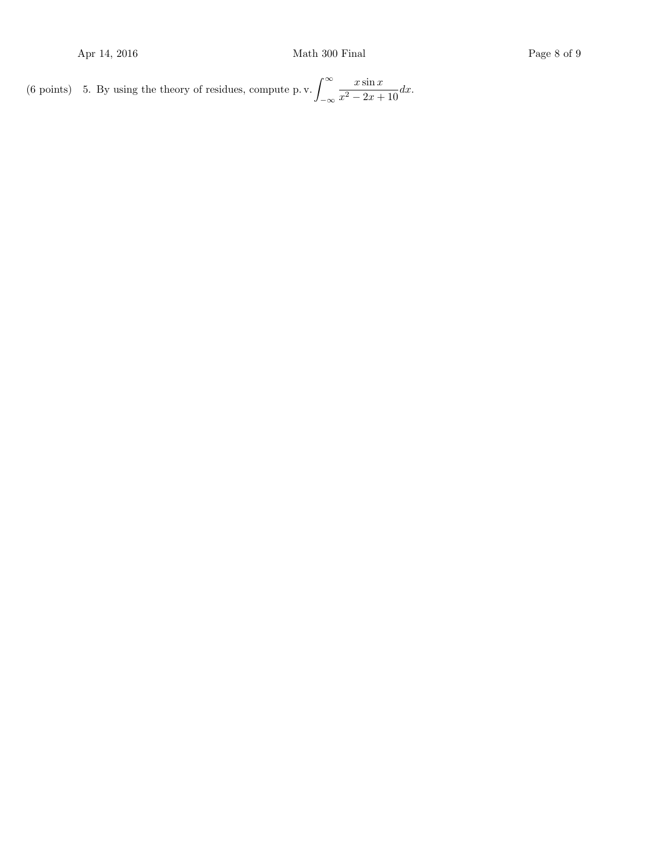(6 points) 5. By using the theory of residues, compute p. v.  $\int_{-\infty}^{\infty}$ −∞  $x \sin x$  $\frac{x \sin x}{x^2 - 2x + 10} dx.$